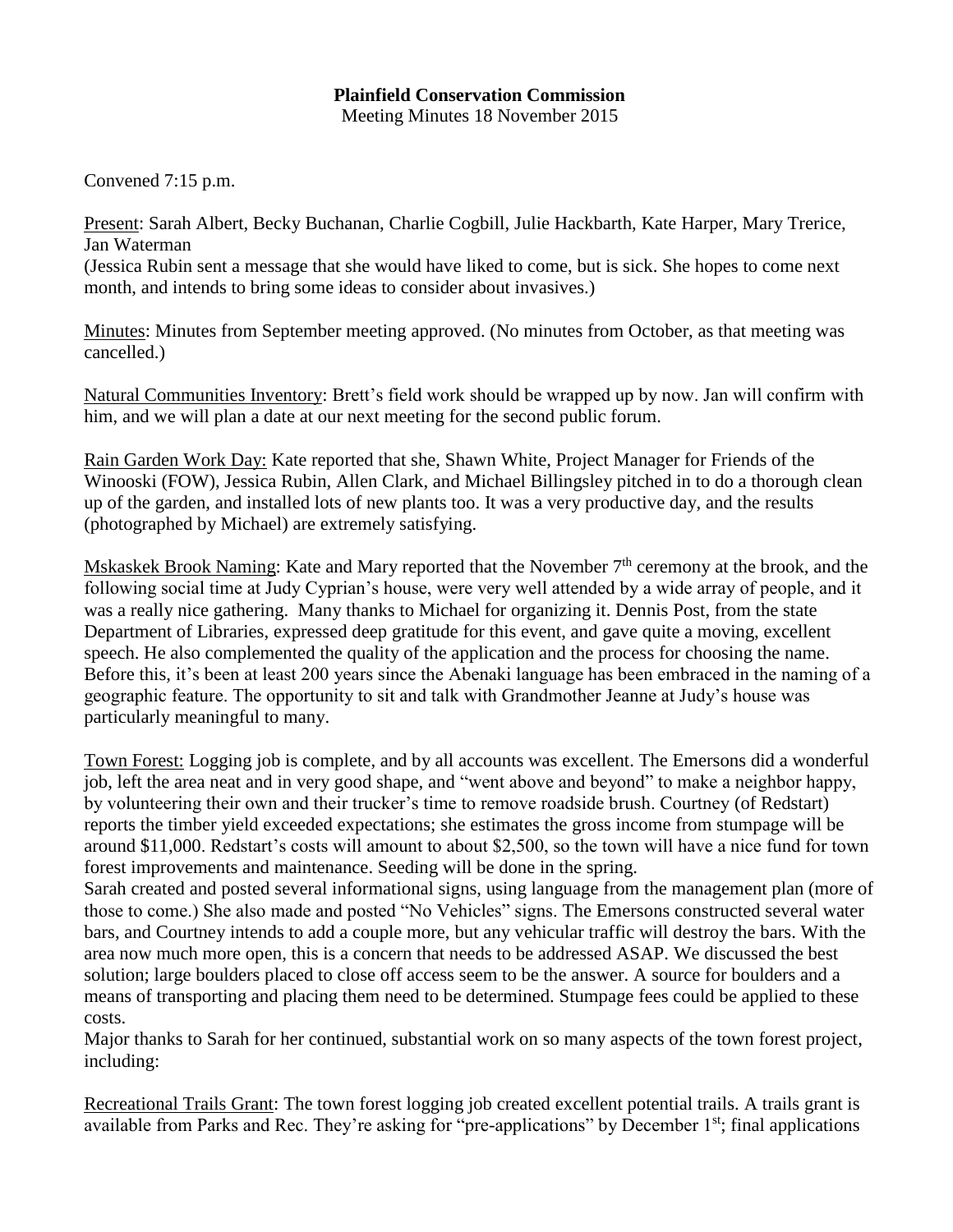## **Plainfield Conservation Commission**  Meeting Minutes 18 November 2015

Convened 7:15 p.m.

Present: Sarah Albert, Becky Buchanan, Charlie Cogbill, Julie Hackbarth, Kate Harper, Mary Trerice, Jan Waterman (Jessica Rubin sent a message that she would have liked to come, but is sick. She hopes to come next

month, and intends to bring some ideas to consider about invasives.)

Minutes: Minutes from September meeting approved. (No minutes from October, as that meeting was cancelled.)

Natural Communities Inventory: Brett's field work should be wrapped up by now. Jan will confirm with him, and we will plan a date at our next meeting for the second public forum.

Rain Garden Work Day: Kate reported that she, Shawn White, Project Manager for Friends of the Winooski (FOW), Jessica Rubin, Allen Clark, and Michael Billingsley pitched in to do a thorough clean up of the garden, and installed lots of new plants too. It was a very productive day, and the results (photographed by Michael) are extremely satisfying.

Mskaskek Brook Naming: Kate and Mary reported that the November  $7<sup>th</sup>$  ceremony at the brook, and the following social time at Judy Cyprian's house, were very well attended by a wide array of people, and it was a really nice gathering. Many thanks to Michael for organizing it. Dennis Post, from the state Department of Libraries, expressed deep gratitude for this event, and gave quite a moving, excellent speech. He also complemented the quality of the application and the process for choosing the name. Before this, it's been at least 200 years since the Abenaki language has been embraced in the naming of a geographic feature. The opportunity to sit and talk with Grandmother Jeanne at Judy's house was particularly meaningful to many.

Town Forest: Logging job is complete, and by all accounts was excellent. The Emersons did a wonderful job, left the area neat and in very good shape, and "went above and beyond" to make a neighbor happy, by volunteering their own and their trucker's time to remove roadside brush. Courtney (of Redstart) reports the timber yield exceeded expectations; she estimates the gross income from stumpage will be around \$11,000. Redstart's costs will amount to about \$2,500, so the town will have a nice fund for town forest improvements and maintenance. Seeding will be done in the spring.

Sarah created and posted several informational signs, using language from the management plan (more of those to come.) She also made and posted "No Vehicles" signs. The Emersons constructed several water bars, and Courtney intends to add a couple more, but any vehicular traffic will destroy the bars. With the area now much more open, this is a concern that needs to be addressed ASAP. We discussed the best solution; large boulders placed to close off access seem to be the answer. A source for boulders and a means of transporting and placing them need to be determined. Stumpage fees could be applied to these costs.

Major thanks to Sarah for her continued, substantial work on so many aspects of the town forest project, including:

Recreational Trails Grant: The town forest logging job created excellent potential trails. A trails grant is available from Parks and Rec. They're asking for "pre-applications" by December 1st; final applications